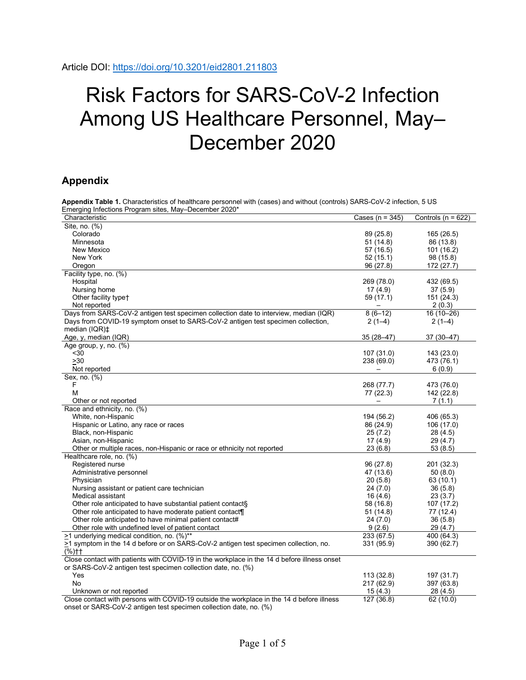## Risk Factors for SARS-CoV-2 Infection Among US Healthcare Personnel, May– December 2020

## **Appendix**

| <b>CHAIN</b> TUDIO T. OHARGUCHSROS OF HOARDOLD POISOHHOL WRIT (08303) AND WRITOUT (00181013) OAT 10-00 V-Z HIROGUH,<br>Emerging Infections Program sites, May-December 2020* |                     |                       |
|------------------------------------------------------------------------------------------------------------------------------------------------------------------------------|---------------------|-----------------------|
| Characteristic                                                                                                                                                               | Cases ( $n = 345$ ) | Controls (n = $622$ ) |
| Site, no. (%)                                                                                                                                                                |                     |                       |
| Colorado                                                                                                                                                                     | 89 (25.8)           | 165 (26.5)            |
| Minnesota                                                                                                                                                                    | 51 (14.8)           | 86 (13.8)             |
| New Mexico                                                                                                                                                                   | 57 (16.5)           | 101 (16.2)            |
| New York                                                                                                                                                                     | 52(15.1)            | 98 (15.8)             |
| Oregon                                                                                                                                                                       | 96 (27.8)           | 172 (27.7)            |
| Facility type, no. (%)                                                                                                                                                       |                     |                       |
| Hospital                                                                                                                                                                     | 269 (78.0)          | 432 (69.5)            |
| Nursing home                                                                                                                                                                 | 17(4.9)             | 37(5.9)               |
| Other facility type+                                                                                                                                                         | 59 (17.1)           | 151 (24.3)            |
| Not reported                                                                                                                                                                 |                     | 2(0.3)                |
| Days from SARS-CoV-2 antigen test specimen collection date to interview, median (IQR)                                                                                        | $8(6-12)$           | $16(10-26)$           |
| Days from COVID-19 symptom onset to SARS-CoV-2 antigen test specimen collection,                                                                                             |                     |                       |
|                                                                                                                                                                              | $2(1-4)$            | $2(1-4)$              |
| median $(IQR)\ddagger$                                                                                                                                                       |                     |                       |
| Age, y, median (IQR)                                                                                                                                                         | 35 (28-47)          | 37 (30-47)            |
| Age group, $y$ , no. $(\%)$                                                                                                                                                  |                     |                       |
| $30$                                                                                                                                                                         | 107 (31.0)          | 143 (23.0)            |
| >30                                                                                                                                                                          | 238 (69.0)          | 473 (76.1)            |
| Not reported                                                                                                                                                                 |                     | 6(0.9)                |
| Sex, no. (%)                                                                                                                                                                 |                     |                       |
| F                                                                                                                                                                            | 268 (77.7)          | 473 (76.0)            |
| M                                                                                                                                                                            | 77 (22.3)           | 142 (22.8)            |
| Other or not reported                                                                                                                                                        |                     | 7(1.1)                |
| Race and ethnicity, no. (%)                                                                                                                                                  |                     |                       |
| White, non-Hispanic                                                                                                                                                          | 194 (56.2)          | 406 (65.3)            |
| Hispanic or Latino, any race or races                                                                                                                                        | 86 (24.9)           | 106 (17.0)            |
| Black, non-Hispanic                                                                                                                                                          | 25(7.2)             | 28 (4.5)              |
| Asian, non-Hispanic                                                                                                                                                          | 17(4.9)             | 29 (4.7)              |
| Other or multiple races, non-Hispanic or race or ethnicity not reported                                                                                                      | 23(6.8)             | 53(8.5)               |
| Healthcare role, no. (%)                                                                                                                                                     |                     |                       |
| Registered nurse                                                                                                                                                             | 96 (27.8)           | 201 (32.3)            |
| Administrative personnel                                                                                                                                                     | 47 (13.6)           | 50(8.0)               |
| Physician                                                                                                                                                                    | 20(5.8)             | 63 (10.1)             |
| Nursing assistant or patient care technician                                                                                                                                 | 24 (7.0)            | 36(5.8)               |
| Medical assistant                                                                                                                                                            | 16(4.6)             | 23(3.7)               |
| Other role anticipated to have substantial patient contacts                                                                                                                  | 58 (16.8)           | 107 (17.2)            |
| Other role anticipated to have moderate patient contact¶                                                                                                                     | 51 (14.8)           | 77 (12.4)             |
| Other role anticipated to have minimal patient contact#                                                                                                                      | 24(7.0)             | 36(5.8)               |
| Other role with undefined level of patient contact                                                                                                                           | 9(2.6)              | 29(4.7)               |
| >1 underlying medical condition, no. (%)**                                                                                                                                   | 233 (67.5)          | 400 (64.3)            |
| $\geq$ 1 symptom in the 14 d before or on SARS-CoV-2 antigen test specimen collection, no.                                                                                   | 331 (95.9)          | 390 (62.7)            |
| $(% )+$                                                                                                                                                                      |                     |                       |
| Close contact with patients with COVID-19 in the workplace in the 14 d before illness onset                                                                                  |                     |                       |
| or SARS-CoV-2 antigen test specimen collection date, no. (%)                                                                                                                 |                     |                       |
| Yes                                                                                                                                                                          | 113 (32.8)          | 197 (31.7)            |
| No                                                                                                                                                                           | 217 (62.9)          | 397(63.8)             |
| Unknown or not reported                                                                                                                                                      | 15(4.3)             | 28(4.5)               |
| Close contact with persons with COVID-19 outside the workplace in the 14 d before illness                                                                                    | 127 (36.8)          | 62 (10.0)             |
| onset or SARS-CoV-2 antigen test specimen collection date, no. (%)                                                                                                           |                     |                       |

**Appendix Table 1.** Characteristics of healthcare personnel with (cases) and without (controls) SARS-CoV-2 infection, 5 US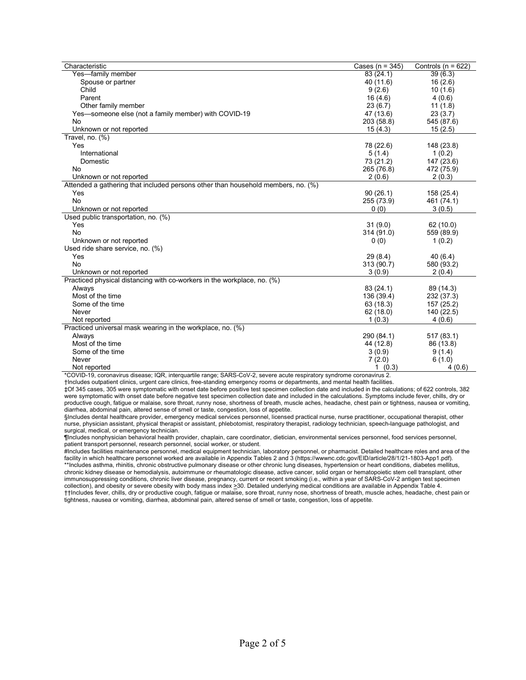| Characteristic                                                                   | Cases ( $n = 345$ ) | Controls ( $n = 622$ ) |
|----------------------------------------------------------------------------------|---------------------|------------------------|
| Yes-family member                                                                | 83 (24.1)           | 39(6.3)                |
| Spouse or partner                                                                | 40 (11.6)           | 16(2.6)                |
| Child                                                                            | 9(2.6)              | 10(1.6)                |
| Parent                                                                           | 16(4.6)             | 4(0.6)                 |
| Other family member                                                              | 23(6.7)             | 11(1.8)                |
| Yes-someone else (not a family member) with COVID-19                             | 47 (13.6)           | 23(3.7)                |
| No                                                                               | 203 (58.8)          | 545 (87.6)             |
| Unknown or not reported                                                          | 15(4.3)             | 15(2.5)                |
| Travel, no. $(\%)$                                                               |                     |                        |
| Yes                                                                              | 78 (22.6)           | 148 (23.8)             |
| International                                                                    | 5(1.4)              | 1(0.2)                 |
| Domestic                                                                         | 73 (21.2)           | 147 (23.6)             |
| No                                                                               | 265 (76.8)          | 472 (75.9)             |
| Unknown or not reported                                                          | 2(0.6)              | 2(0.3)                 |
| Attended a gathering that included persons other than household members, no. (%) |                     |                        |
| Yes                                                                              | 90(26.1)            | 158 (25.4)             |
| <b>No</b>                                                                        | 255 (73.9)          | 461 (74.1)             |
| Unknown or not reported                                                          | 0(0)                | 3(0.5)                 |
| Used public transportation, no. (%)                                              |                     |                        |
| Yes                                                                              | 31(9.0)             | 62(10.0)               |
| <b>No</b>                                                                        | 314 (91.0)          | 559 (89.9)             |
| Unknown or not reported                                                          | 0(0)                | 1(0.2)                 |
| Used ride share service, no. (%)                                                 |                     |                        |
| Yes                                                                              | 29(8.4)             | 40(6.4)                |
| <b>No</b>                                                                        | 313 (90.7)          | 580 (93.2)             |
| Unknown or not reported                                                          | 3(0.9)              | 2(0.4)                 |
| Practiced physical distancing with co-workers in the workplace, no. (%)          |                     |                        |
| Always                                                                           | 83 (24.1)           | 89 (14.3)              |
| Most of the time                                                                 | 136 (39.4)          | 232 (37.3)             |
| Some of the time                                                                 | 63 (18.3)           | 157 (25.2)             |
| Never                                                                            | 62(18.0)            | 140 (22.5)             |
| Not reported                                                                     | 1(0.3)              | 4(0.6)                 |
| Practiced universal mask wearing in the workplace, no. (%)                       |                     |                        |
| Always                                                                           | 290 (84.1)          | 517(83.1)              |
| Most of the time                                                                 | 44 (12.8)           | 86 (13.8)              |
| Some of the time                                                                 | 3(0.9)              | 9(1.4)                 |
| Never                                                                            | 7(2.0)              | 6(1.0)                 |
| Not reported                                                                     | (0.3)<br>1.         | 4(0.6)                 |

\*COVID-19, coronavirus disease; IQR, interquartile range; SARS-CoV-2, severe acute respiratory syndrome coronavirus 2.

†Includes outpatient clinics, urgent care clinics, free-standing emergency rooms or departments, and mental health facilities.

‡Of 345 cases, 305 were symptomatic with onset date before positive test specimen collection date and included in the calculations; of 622 controls, 382 were symptomatic with onset date before negative test specimen collection date and included in the calculations. Symptoms include fever, chills, dry or productive cough, fatigue or malaise, sore throat, runny nose, shortness of breath, muscle aches, headache, chest pain or tightness, nausea or vomiting, diarrhea, abdominal pain, altered sense of smell or taste, congestion, loss of appetite.

§Includes dental healthcare provider, emergency medical services personnel, licensed practical nurse, nurse practitioner, occupational therapist, other nurse, physician assistant, physical therapist or assistant, phlebotomist, respiratory therapist, radiology technician, speech-language pathologist, and surgical, medical, or emergency technician.

¶Includes nonphysician behavioral health provider, chaplain, care coordinator, dietician, environmental services personnel, food services personnel, patient transport personnel, research personnel, social worker, or student.

#Includes facilities maintenance personnel, medical equipment technician, laboratory personnel, or pharmacist. Detailed healthcare roles and area of the facility in which healthcare personnel worked are available in Appendix Tables 2 and 3 (https://wwwnc.cdc.gov/EID/article/28/1/21-1803-App1.pdf). \*\*Includes asthma, rhinitis, chronic obstructive pulmonary disease or other chronic lung diseases, hypertension or heart conditions, diabetes mellitus, chronic kidney disease or hemodialysis, autoimmune or rheumatologic disease, active cancer, solid organ or hematopoietic stem cell transplant, other immunosuppressing conditions, chronic liver disease, pregnancy, current or recent smoking (i.e., within a year of SARS-CoV-2 antigen test specimen collection), and obesity or severe obesity with body mass index 230. Detailed underlying medical conditions are available in Appendix Table 4. ††Includes fever, chills, dry or productive cough, fatigue or malaise, sore throat, runny nose, shortness of breath, muscle aches, headache, chest pain or tightness, nausea or vomiting, diarrhea, abdominal pain, altered sense of smell or taste, congestion, loss of appetite.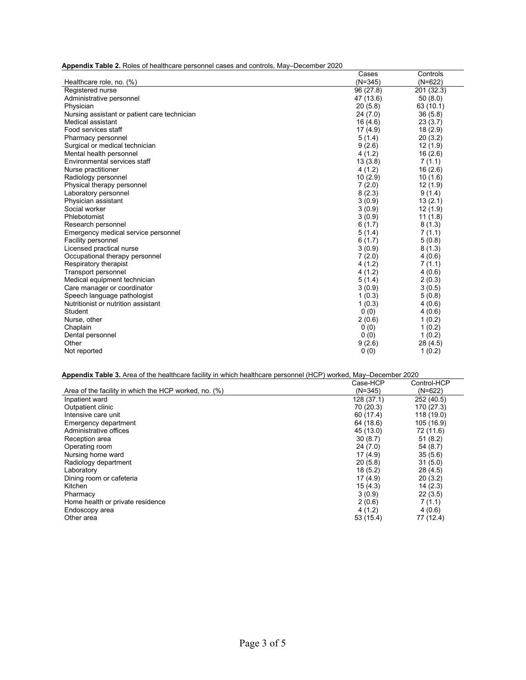**Appendix Table 2.** Roles of healthcare personnel cases and controls, May–December 2020

| $(N=345)$<br>$(N=622)$<br>Healthcare role, no. (%)<br>Registered nurse<br>96 (27.8)<br>201 (32.3)<br>Administrative personnel<br>47 (13.6)<br>50(8.0)<br>20(5.8)<br>Physician<br>63 (10.1)<br>36(5.8)<br>Nursing assistant or patient care technician<br>24(7.0)<br>23(3.7)<br>Medical assistant<br>16(4.6)<br>Food services staff<br>17(4.9)<br>18(2.9)<br>20(3.2)<br>5(1.4)<br>Pharmacy personnel<br>9(2.6)<br>Surgical or medical technician<br>12(1.9)<br>4(1.2)<br>16(2.6)<br>Mental health personnel<br>13(3.8)<br>Environmental services staff<br>7(1.1)<br>4(1.2)<br>16(2.6)<br>Nurse practitioner<br>10(2.9)<br>10(1.6)<br>Radiology personnel<br>7(2.0)<br>12(1.9)<br>Physical therapy personnel<br>8(2.3)<br>Laboratory personnel<br>9(1.4)<br>Physician assistant<br>3(0.9)<br>13(2.1)<br>Social worker<br>3(0.9)<br>12 (1.9)<br>Phlebotomist<br>3(0.9)<br>11(1.8)<br>6(1.7)<br>Research personnel<br>8(1.3)<br>5(1.4)<br>Emergency medical service personnel<br>7(1.1)<br>6(1.7)<br>Facility personnel<br>5(0.8)<br>Licensed practical nurse<br>3(0.9)<br>8(1.3)<br>Occupational therapy personnel<br>7(2.0)<br>4(0.6)<br>Respiratory therapist<br>4 (1.2)<br>7(1.1)<br>Transport personnel<br>4 (1.2)<br>4(0.6)<br>Medical equipment technician<br>5(1.4)<br>2(0.3)<br>3(0.9)<br>Care manager or coordinator<br>3(0.5)<br>Speech language pathologist<br>1(0.3)<br>5(0.8)<br>Nutritionist or nutrition assistant<br>1(0.3)<br>4(0.6)<br>0(0)<br>Student<br>4(0.6)<br>2(0.6)<br>Nurse, other<br>1(0.2)<br>0(0)<br>Chaplain<br>1(0.2)<br>0(0)<br>Dental personnel<br>1(0.2)<br>Other<br>9(2.6)<br>28 (4.5)<br>0(0)<br>1(0.2)<br>Not reported | Cases | Controls |
|----------------------------------------------------------------------------------------------------------------------------------------------------------------------------------------------------------------------------------------------------------------------------------------------------------------------------------------------------------------------------------------------------------------------------------------------------------------------------------------------------------------------------------------------------------------------------------------------------------------------------------------------------------------------------------------------------------------------------------------------------------------------------------------------------------------------------------------------------------------------------------------------------------------------------------------------------------------------------------------------------------------------------------------------------------------------------------------------------------------------------------------------------------------------------------------------------------------------------------------------------------------------------------------------------------------------------------------------------------------------------------------------------------------------------------------------------------------------------------------------------------------------------------------------------------------------------------------------------------------------------------------------------------|-------|----------|
|                                                                                                                                                                                                                                                                                                                                                                                                                                                                                                                                                                                                                                                                                                                                                                                                                                                                                                                                                                                                                                                                                                                                                                                                                                                                                                                                                                                                                                                                                                                                                                                                                                                          |       |          |
|                                                                                                                                                                                                                                                                                                                                                                                                                                                                                                                                                                                                                                                                                                                                                                                                                                                                                                                                                                                                                                                                                                                                                                                                                                                                                                                                                                                                                                                                                                                                                                                                                                                          |       |          |
|                                                                                                                                                                                                                                                                                                                                                                                                                                                                                                                                                                                                                                                                                                                                                                                                                                                                                                                                                                                                                                                                                                                                                                                                                                                                                                                                                                                                                                                                                                                                                                                                                                                          |       |          |
|                                                                                                                                                                                                                                                                                                                                                                                                                                                                                                                                                                                                                                                                                                                                                                                                                                                                                                                                                                                                                                                                                                                                                                                                                                                                                                                                                                                                                                                                                                                                                                                                                                                          |       |          |
|                                                                                                                                                                                                                                                                                                                                                                                                                                                                                                                                                                                                                                                                                                                                                                                                                                                                                                                                                                                                                                                                                                                                                                                                                                                                                                                                                                                                                                                                                                                                                                                                                                                          |       |          |
|                                                                                                                                                                                                                                                                                                                                                                                                                                                                                                                                                                                                                                                                                                                                                                                                                                                                                                                                                                                                                                                                                                                                                                                                                                                                                                                                                                                                                                                                                                                                                                                                                                                          |       |          |
|                                                                                                                                                                                                                                                                                                                                                                                                                                                                                                                                                                                                                                                                                                                                                                                                                                                                                                                                                                                                                                                                                                                                                                                                                                                                                                                                                                                                                                                                                                                                                                                                                                                          |       |          |
|                                                                                                                                                                                                                                                                                                                                                                                                                                                                                                                                                                                                                                                                                                                                                                                                                                                                                                                                                                                                                                                                                                                                                                                                                                                                                                                                                                                                                                                                                                                                                                                                                                                          |       |          |
|                                                                                                                                                                                                                                                                                                                                                                                                                                                                                                                                                                                                                                                                                                                                                                                                                                                                                                                                                                                                                                                                                                                                                                                                                                                                                                                                                                                                                                                                                                                                                                                                                                                          |       |          |
|                                                                                                                                                                                                                                                                                                                                                                                                                                                                                                                                                                                                                                                                                                                                                                                                                                                                                                                                                                                                                                                                                                                                                                                                                                                                                                                                                                                                                                                                                                                                                                                                                                                          |       |          |
|                                                                                                                                                                                                                                                                                                                                                                                                                                                                                                                                                                                                                                                                                                                                                                                                                                                                                                                                                                                                                                                                                                                                                                                                                                                                                                                                                                                                                                                                                                                                                                                                                                                          |       |          |
|                                                                                                                                                                                                                                                                                                                                                                                                                                                                                                                                                                                                                                                                                                                                                                                                                                                                                                                                                                                                                                                                                                                                                                                                                                                                                                                                                                                                                                                                                                                                                                                                                                                          |       |          |
|                                                                                                                                                                                                                                                                                                                                                                                                                                                                                                                                                                                                                                                                                                                                                                                                                                                                                                                                                                                                                                                                                                                                                                                                                                                                                                                                                                                                                                                                                                                                                                                                                                                          |       |          |
|                                                                                                                                                                                                                                                                                                                                                                                                                                                                                                                                                                                                                                                                                                                                                                                                                                                                                                                                                                                                                                                                                                                                                                                                                                                                                                                                                                                                                                                                                                                                                                                                                                                          |       |          |
|                                                                                                                                                                                                                                                                                                                                                                                                                                                                                                                                                                                                                                                                                                                                                                                                                                                                                                                                                                                                                                                                                                                                                                                                                                                                                                                                                                                                                                                                                                                                                                                                                                                          |       |          |
|                                                                                                                                                                                                                                                                                                                                                                                                                                                                                                                                                                                                                                                                                                                                                                                                                                                                                                                                                                                                                                                                                                                                                                                                                                                                                                                                                                                                                                                                                                                                                                                                                                                          |       |          |
|                                                                                                                                                                                                                                                                                                                                                                                                                                                                                                                                                                                                                                                                                                                                                                                                                                                                                                                                                                                                                                                                                                                                                                                                                                                                                                                                                                                                                                                                                                                                                                                                                                                          |       |          |
|                                                                                                                                                                                                                                                                                                                                                                                                                                                                                                                                                                                                                                                                                                                                                                                                                                                                                                                                                                                                                                                                                                                                                                                                                                                                                                                                                                                                                                                                                                                                                                                                                                                          |       |          |
|                                                                                                                                                                                                                                                                                                                                                                                                                                                                                                                                                                                                                                                                                                                                                                                                                                                                                                                                                                                                                                                                                                                                                                                                                                                                                                                                                                                                                                                                                                                                                                                                                                                          |       |          |
|                                                                                                                                                                                                                                                                                                                                                                                                                                                                                                                                                                                                                                                                                                                                                                                                                                                                                                                                                                                                                                                                                                                                                                                                                                                                                                                                                                                                                                                                                                                                                                                                                                                          |       |          |
|                                                                                                                                                                                                                                                                                                                                                                                                                                                                                                                                                                                                                                                                                                                                                                                                                                                                                                                                                                                                                                                                                                                                                                                                                                                                                                                                                                                                                                                                                                                                                                                                                                                          |       |          |
|                                                                                                                                                                                                                                                                                                                                                                                                                                                                                                                                                                                                                                                                                                                                                                                                                                                                                                                                                                                                                                                                                                                                                                                                                                                                                                                                                                                                                                                                                                                                                                                                                                                          |       |          |
|                                                                                                                                                                                                                                                                                                                                                                                                                                                                                                                                                                                                                                                                                                                                                                                                                                                                                                                                                                                                                                                                                                                                                                                                                                                                                                                                                                                                                                                                                                                                                                                                                                                          |       |          |
|                                                                                                                                                                                                                                                                                                                                                                                                                                                                                                                                                                                                                                                                                                                                                                                                                                                                                                                                                                                                                                                                                                                                                                                                                                                                                                                                                                                                                                                                                                                                                                                                                                                          |       |          |
|                                                                                                                                                                                                                                                                                                                                                                                                                                                                                                                                                                                                                                                                                                                                                                                                                                                                                                                                                                                                                                                                                                                                                                                                                                                                                                                                                                                                                                                                                                                                                                                                                                                          |       |          |
|                                                                                                                                                                                                                                                                                                                                                                                                                                                                                                                                                                                                                                                                                                                                                                                                                                                                                                                                                                                                                                                                                                                                                                                                                                                                                                                                                                                                                                                                                                                                                                                                                                                          |       |          |
|                                                                                                                                                                                                                                                                                                                                                                                                                                                                                                                                                                                                                                                                                                                                                                                                                                                                                                                                                                                                                                                                                                                                                                                                                                                                                                                                                                                                                                                                                                                                                                                                                                                          |       |          |
|                                                                                                                                                                                                                                                                                                                                                                                                                                                                                                                                                                                                                                                                                                                                                                                                                                                                                                                                                                                                                                                                                                                                                                                                                                                                                                                                                                                                                                                                                                                                                                                                                                                          |       |          |
|                                                                                                                                                                                                                                                                                                                                                                                                                                                                                                                                                                                                                                                                                                                                                                                                                                                                                                                                                                                                                                                                                                                                                                                                                                                                                                                                                                                                                                                                                                                                                                                                                                                          |       |          |
|                                                                                                                                                                                                                                                                                                                                                                                                                                                                                                                                                                                                                                                                                                                                                                                                                                                                                                                                                                                                                                                                                                                                                                                                                                                                                                                                                                                                                                                                                                                                                                                                                                                          |       |          |
|                                                                                                                                                                                                                                                                                                                                                                                                                                                                                                                                                                                                                                                                                                                                                                                                                                                                                                                                                                                                                                                                                                                                                                                                                                                                                                                                                                                                                                                                                                                                                                                                                                                          |       |          |
|                                                                                                                                                                                                                                                                                                                                                                                                                                                                                                                                                                                                                                                                                                                                                                                                                                                                                                                                                                                                                                                                                                                                                                                                                                                                                                                                                                                                                                                                                                                                                                                                                                                          |       |          |
|                                                                                                                                                                                                                                                                                                                                                                                                                                                                                                                                                                                                                                                                                                                                                                                                                                                                                                                                                                                                                                                                                                                                                                                                                                                                                                                                                                                                                                                                                                                                                                                                                                                          |       |          |
|                                                                                                                                                                                                                                                                                                                                                                                                                                                                                                                                                                                                                                                                                                                                                                                                                                                                                                                                                                                                                                                                                                                                                                                                                                                                                                                                                                                                                                                                                                                                                                                                                                                          |       |          |
|                                                                                                                                                                                                                                                                                                                                                                                                                                                                                                                                                                                                                                                                                                                                                                                                                                                                                                                                                                                                                                                                                                                                                                                                                                                                                                                                                                                                                                                                                                                                                                                                                                                          |       |          |

|  |  |  |  |  | Appendix Table 3. Area of the healthcare facility in which healthcare personnel (HCP) worked, May-December 2020 |  |
|--|--|--|--|--|-----------------------------------------------------------------------------------------------------------------|--|
|  |  |  |  |  |                                                                                                                 |  |

|                                                       | Case-HCP   | Control-HCP |
|-------------------------------------------------------|------------|-------------|
| Area of the facility in which the HCP worked, no. (%) | $(N=345)$  | $(N=622)$   |
| Inpatient ward                                        | 128 (37.1) | 252 (40.5)  |
| Outpatient clinic                                     | 70 (20.3)  | 170 (27.3)  |
| Intensive care unit                                   | 60 (17.4)  | 118 (19.0)  |
| Emergency department                                  | 64 (18.6)  | 105 (16.9)  |
| Administrative offices                                | 45 (13.0)  | 72 (11.6)   |
| Reception area                                        | 30(8.7)    | 51(8.2)     |
| Operating room                                        | 24(7.0)    | 54(8.7)     |
| Nursing home ward                                     | 17(4.9)    | 35(5.6)     |
| Radiology department                                  | 20(5.8)    | 31(5.0)     |
| Laboratory                                            | 18(5.2)    | 28(4.5)     |
| Dining room or cafeteria                              | 17(4.9)    | 20(3.2)     |
| Kitchen                                               | 15(4.3)    | 14(2.3)     |
| Pharmacy                                              | 3(0.9)     | 22(3.5)     |
| Home health or private residence                      | 2(0.6)     | 7(1.1)      |
| Endoscopy area                                        | 4(1.2)     | 4(0.6)      |
| Other area                                            | 53(15.4)   | 77 (12.4)   |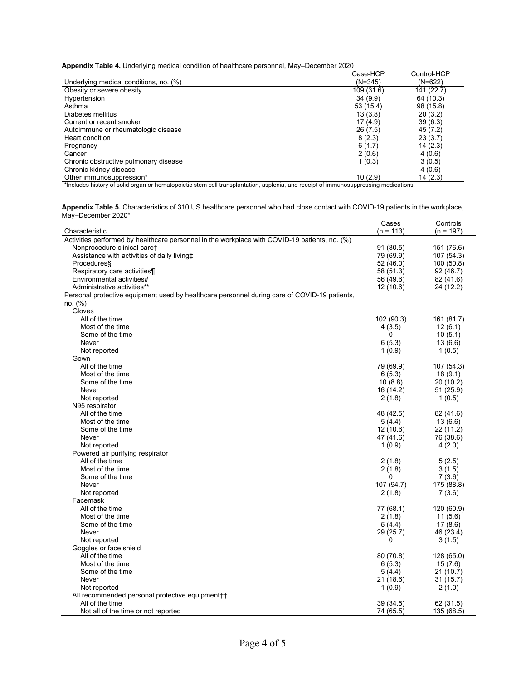**Appendix Table 4.** Underlying medical condition of healthcare personnel, May–December 2020

|                                        | Case-HCP   | Control-HCP |
|----------------------------------------|------------|-------------|
| Underlying medical conditions, no. (%) | $(N=345)$  | $(N=622)$   |
| Obesity or severe obesity              | 109 (31.6) | 141 (22.7)  |
| Hypertension                           | 34(9.9)    | 64 (10.3)   |
| Asthma                                 | 53 (15.4)  | 98 (15.8)   |
| Diabetes mellitus                      | 13(3.8)    | 20(3.2)     |
| Current or recent smoker               | 17(4.9)    | 39(6.3)     |
| Autoimmune or rheumatologic disease    | 26(7.5)    | 45 (7.2)    |
| Heart condition                        | 8(2.3)     | 23(3.7)     |
| Pregnancy                              | 6(1.7)     | 14(2.3)     |
| Cancer                                 | 2(0.6)     | 4(0.6)      |
| Chronic obstructive pulmonary disease  | 1(0.3)     | 3(0.5)      |
| Chronic kidney disease                 | $- -$      | 4(0.6)      |
| Other immunosuppression*               | 10(2.9)    | 14(2.3)     |

\*Includes history of solid organ or hematopoietic stem cell transplantation, asplenia, and receipt of immunosuppressing medications.

**Appendix Table 5.** Characteristics of 310 US healthcare personnel who had close contact with COVID-19 patients in the workplace, May–December 2020\*

|                                                                                               | Cases       | Controls    |
|-----------------------------------------------------------------------------------------------|-------------|-------------|
| Characteristic                                                                                | $(n = 113)$ | $(n = 197)$ |
| Activities performed by healthcare personnel in the workplace with COVID-19 patients, no. (%) |             |             |
| Nonprocedure clinical caret                                                                   | 91(80.5)    | 151 (76.6)  |
| Assistance with activities of daily livingt                                                   | 79 (69.9)   | 107 (54.3)  |
| Procedures§                                                                                   | 52 (46.0)   | 100 (50.8)  |
| Respiratory care activities¶                                                                  | 58 (51.3)   | 92 (46.7)   |
| Environmental activities#                                                                     | 56 (49.6)   | 82 (41.6)   |
| Administrative activities**                                                                   | 12(10.6)    | 24 (12.2)   |
| Personal protective equipment used by healthcare personnel during care of COVID-19 patients,  |             |             |
| no. (%)                                                                                       |             |             |
| Gloves                                                                                        |             |             |
| All of the time                                                                               | 102 (90.3)  | 161 (81.7)  |
| Most of the time                                                                              | 4(3.5)      | 12(6.1)     |
| Some of the time                                                                              | 0           | 10(5.1)     |
| Never                                                                                         | 6(5.3)      | 13(6.6)     |
| Not reported                                                                                  | 1(0.9)      | 1(0.5)      |
| Gown                                                                                          |             |             |
| All of the time                                                                               | 79 (69.9)   | 107 (54.3)  |
| Most of the time                                                                              | 6(5.3)      | 18(9.1)     |
| Some of the time                                                                              | 10(8.8)     | 20(10.2)    |
| Never                                                                                         | 16(14.2)    | 51 (25.9)   |
| Not reported                                                                                  | 2(1.8)      | 1(0.5)      |
| N95 respirator                                                                                |             |             |
| All of the time                                                                               | 48 (42.5)   | 82 (41.6)   |
| Most of the time                                                                              | 5(4.4)      | 13(6.6)     |
| Some of the time                                                                              | 12(10.6)    | 22 (11.2)   |
| Never                                                                                         | 47 (41.6)   | 76 (38.6)   |
| Not reported                                                                                  | 1(0.9)      | 4(2.0)      |
| Powered air purifying respirator                                                              |             |             |
| All of the time                                                                               | 2(1.8)      | 5(2.5)      |
| Most of the time                                                                              | 2(1.8)      | 3(1.5)      |
| Some of the time                                                                              | $\Omega$    | 7(3.6)      |
| Never                                                                                         | 107 (94.7)  | 175 (88.8)  |
| Not reported                                                                                  | 2(1.8)      | 7(3.6)      |
| Facemask                                                                                      |             |             |
| All of the time                                                                               | 77 (68.1)   | 120 (60.9)  |
| Most of the time                                                                              | 2(1.8)      | 11(5.6)     |
| Some of the time                                                                              | 5(4.4)      | 17(8.6)     |
| Never                                                                                         | 29 (25.7)   | 46 (23.4)   |
| Not reported                                                                                  | 0           | 3(1.5)      |
| Goggles or face shield                                                                        |             |             |
| All of the time                                                                               | 80 (70.8)   | 128 (65.0)  |
| Most of the time                                                                              | 6(5.3)      | 15(7.6)     |
| Some of the time                                                                              | 5(4.4)      | 21 (10.7)   |
| Never                                                                                         | 21 (18.6)   | 31(15.7)    |
| Not reported                                                                                  | 1(0.9)      | 2(1.0)      |
| All recommended personal protective equipment++                                               |             |             |
| All of the time                                                                               | 39 (34.5)   | 62 (31.5)   |
| Not all of the time or not reported                                                           | 74 (65.5)   | 135 (68.5)  |